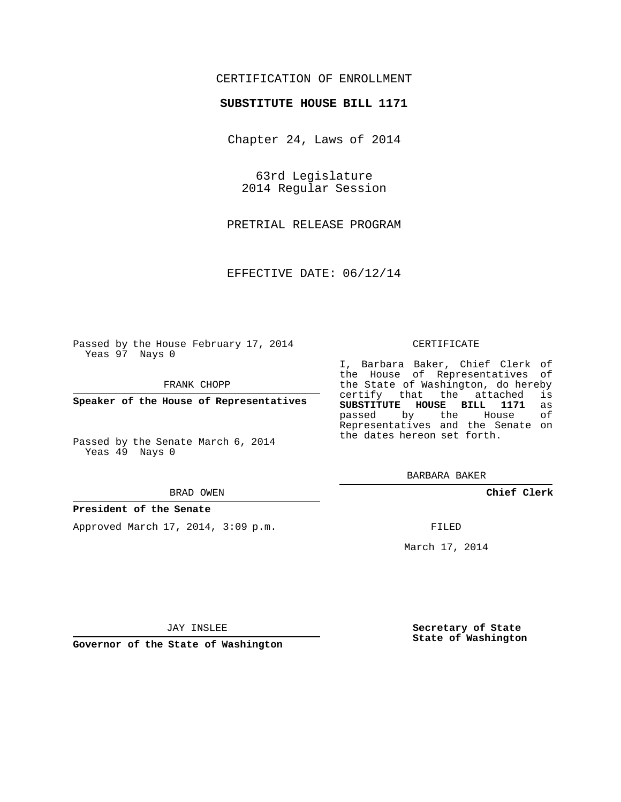## CERTIFICATION OF ENROLLMENT

### **SUBSTITUTE HOUSE BILL 1171**

Chapter 24, Laws of 2014

63rd Legislature 2014 Regular Session

PRETRIAL RELEASE PROGRAM

EFFECTIVE DATE: 06/12/14

Passed by the House February 17, 2014 Yeas 97 Nays 0

FRANK CHOPP

**Speaker of the House of Representatives**

Passed by the Senate March 6, 2014 Yeas 49 Nays 0

#### BRAD OWEN

#### **President of the Senate**

Approved March 17, 2014, 3:09 p.m.

#### CERTIFICATE

I, Barbara Baker, Chief Clerk of the House of Representatives of the State of Washington, do hereby<br>certify that the attached is certify that the attached **SUBSTITUTE HOUSE BILL 1171** as passed by the Representatives and the Senate on the dates hereon set forth.

BARBARA BAKER

**Chief Clerk**

FILED

March 17, 2014

JAY INSLEE

**Governor of the State of Washington**

**Secretary of State State of Washington**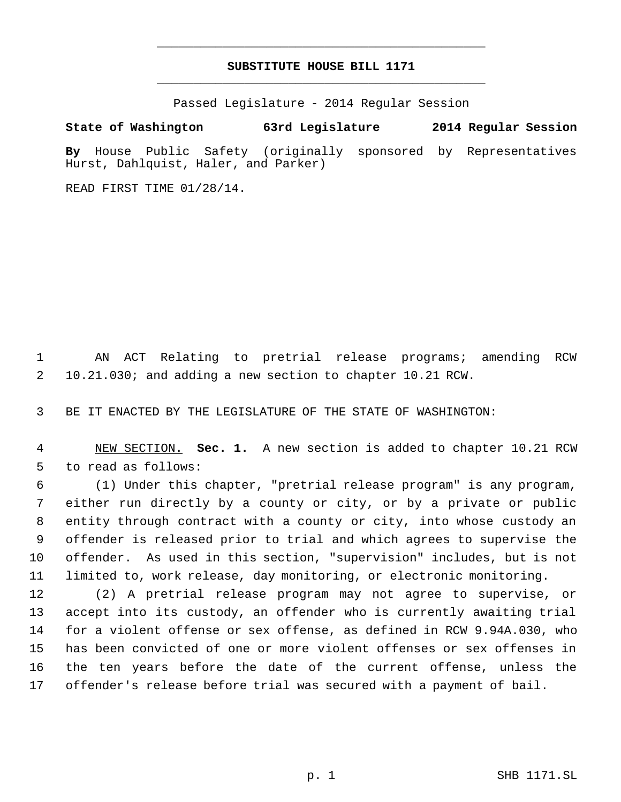# **SUBSTITUTE HOUSE BILL 1171** \_\_\_\_\_\_\_\_\_\_\_\_\_\_\_\_\_\_\_\_\_\_\_\_\_\_\_\_\_\_\_\_\_\_\_\_\_\_\_\_\_\_\_\_\_

\_\_\_\_\_\_\_\_\_\_\_\_\_\_\_\_\_\_\_\_\_\_\_\_\_\_\_\_\_\_\_\_\_\_\_\_\_\_\_\_\_\_\_\_\_

Passed Legislature - 2014 Regular Session

# **State of Washington 63rd Legislature 2014 Regular Session**

**By** House Public Safety (originally sponsored by Representatives Hurst, Dahlquist, Haler, and Parker)

READ FIRST TIME 01/28/14.

 AN ACT Relating to pretrial release programs; amending RCW 10.21.030; and adding a new section to chapter 10.21 RCW.

BE IT ENACTED BY THE LEGISLATURE OF THE STATE OF WASHINGTON:

 NEW SECTION. **Sec. 1.** A new section is added to chapter 10.21 RCW to read as follows:

 (1) Under this chapter, "pretrial release program" is any program, either run directly by a county or city, or by a private or public entity through contract with a county or city, into whose custody an offender is released prior to trial and which agrees to supervise the offender. As used in this section, "supervision" includes, but is not limited to, work release, day monitoring, or electronic monitoring.

 (2) A pretrial release program may not agree to supervise, or accept into its custody, an offender who is currently awaiting trial for a violent offense or sex offense, as defined in RCW 9.94A.030, who has been convicted of one or more violent offenses or sex offenses in the ten years before the date of the current offense, unless the offender's release before trial was secured with a payment of bail.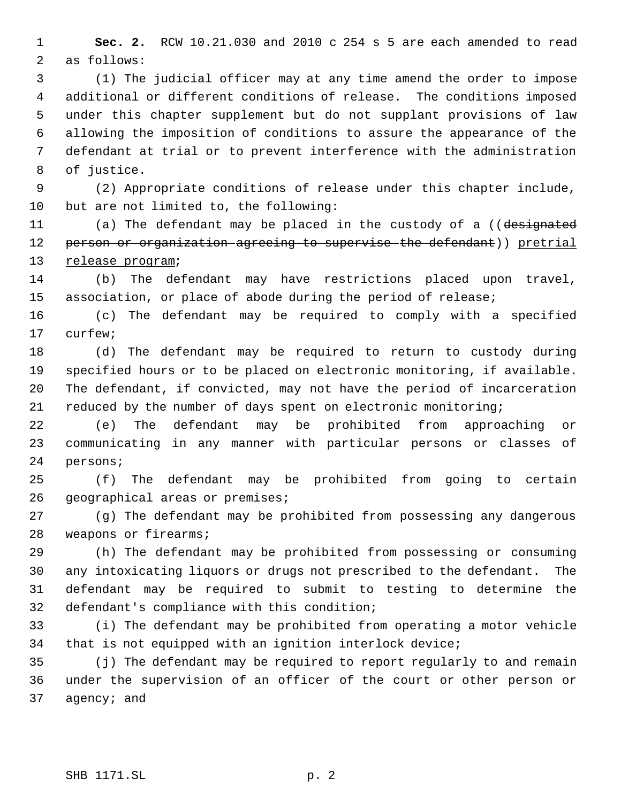**Sec. 2.** RCW 10.21.030 and 2010 c 254 s 5 are each amended to read as follows:

 (1) The judicial officer may at any time amend the order to impose additional or different conditions of release. The conditions imposed under this chapter supplement but do not supplant provisions of law allowing the imposition of conditions to assure the appearance of the defendant at trial or to prevent interference with the administration of justice.

 (2) Appropriate conditions of release under this chapter include, but are not limited to, the following:

11 (a) The defendant may be placed in the custody of a ((designated 12 person or organization agreeing to supervise the defendant)) pretrial 13 release program;

 (b) The defendant may have restrictions placed upon travel, association, or place of abode during the period of release;

 (c) The defendant may be required to comply with a specified curfew;

 (d) The defendant may be required to return to custody during specified hours or to be placed on electronic monitoring, if available. The defendant, if convicted, may not have the period of incarceration reduced by the number of days spent on electronic monitoring;

 (e) The defendant may be prohibited from approaching or communicating in any manner with particular persons or classes of persons;

 (f) The defendant may be prohibited from going to certain geographical areas or premises;

 (g) The defendant may be prohibited from possessing any dangerous weapons or firearms;

 (h) The defendant may be prohibited from possessing or consuming any intoxicating liquors or drugs not prescribed to the defendant. The defendant may be required to submit to testing to determine the defendant's compliance with this condition;

 (i) The defendant may be prohibited from operating a motor vehicle that is not equipped with an ignition interlock device;

 (j) The defendant may be required to report regularly to and remain under the supervision of an officer of the court or other person or agency; and